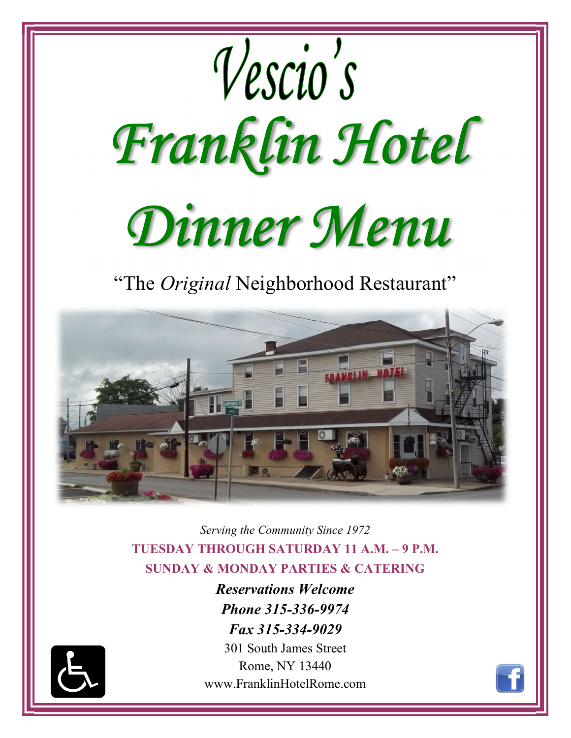

Serving the Community Since 1972 TUESDAY THROUGH SATURDAY 11 A.M. – 9 P.M. SUNDAY & MONDAY PARTIES & CATERING

> Reservations Welcome Phone 315-336-9974 Fax 315-334-9029



301 South James Street Rome, NY 13440 www.FranklinHotelRome.com

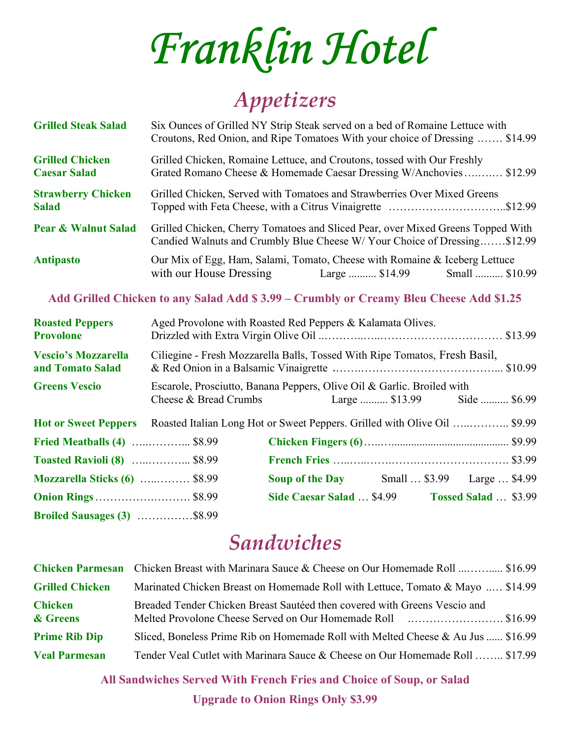Franklin Hotel

### Appetizers

| <b>Grilled Steak Salad</b>                    | Six Ounces of Grilled NY Strip Steak served on a bed of Romaine Lettuce with<br>Croutons, Red Onion, and Ripe Tomatoes With your choice of Dressing  \$14.99 |  |
|-----------------------------------------------|--------------------------------------------------------------------------------------------------------------------------------------------------------------|--|
| <b>Grilled Chicken</b><br><b>Caesar Salad</b> | Grilled Chicken, Romaine Lettuce, and Croutons, tossed with Our Freshly<br>Grated Romano Cheese & Homemade Caesar Dressing W/Anchovies \$12.99               |  |
| <b>Strawberry Chicken</b><br><b>Salad</b>     | Grilled Chicken, Served with Tomatoes and Strawberries Over Mixed Greens<br>Topped with Feta Cheese, with a Citrus Vinaigrette \$12.99                       |  |
| <b>Pear &amp; Walnut Salad</b>                | Grilled Chicken, Cherry Tomatoes and Sliced Pear, over Mixed Greens Topped With<br>Candied Walnuts and Crumbly Blue Cheese W/Your Choice of Dressing\$12.99  |  |
| <b>Antipasto</b>                              | Our Mix of Egg, Ham, Salami, Tomato, Cheese with Romaine & Iceberg Lettuce<br>with our House Dressing<br>Large  \$14.99 Small  \$10.99                       |  |

#### Add Grilled Chicken to any Salad Add \$ 3.99 – Crumbly or Creamy Bleu Cheese Add \$1.25

| <b>Roasted Peppers</b><br><b>Provolone</b>     |                                                                            | Aged Provolone with Roasted Red Peppers & Kalamata Olives.             |                                                                           |
|------------------------------------------------|----------------------------------------------------------------------------|------------------------------------------------------------------------|---------------------------------------------------------------------------|
| <b>Vescio's Mozzarella</b><br>and Tomato Salad | Ciliegine - Fresh Mozzarella Balls, Tossed With Ripe Tomatos, Fresh Basil, |                                                                        |                                                                           |
| <b>Greens Vescio</b>                           |                                                                            | Escarole, Prosciutto, Banana Peppers, Olive Oil & Garlic. Broiled with | Cheese & Bread Crumbs Large  \$13.99 Side  \$6.99                         |
| <b>Hot or Sweet Peppers</b>                    |                                                                            |                                                                        | Roasted Italian Long Hot or Sweet Peppers. Grilled with Olive Oil  \$9.99 |
| <b>Fried Meatballs (4)</b> \$8.99              |                                                                            |                                                                        |                                                                           |
| <b>Toasted Ravioli (8)</b> \$8.99              |                                                                            |                                                                        |                                                                           |
| <b>Mozzarella Sticks (6)</b> \$8.99            |                                                                            |                                                                        | <b>Soup of the Day</b> Small  \$3.99 Large  \$4.99                        |
|                                                |                                                                            | Side Caesar Salad  \$4.99                                              | <b>Tossed Salad</b> \$3.99                                                |
| <b>Broiled Sausages (3)</b> \$8.99             |                                                                            |                                                                        |                                                                           |

#### Sandwiches

|                            | <b>Chicken Parmesan</b> Chicken Breast with Marinara Sauce & Cheese on Our Homemade Roll  \$16.99 |
|----------------------------|---------------------------------------------------------------------------------------------------|
| <b>Grilled Chicken</b>     | Marinated Chicken Breast on Homemade Roll with Lettuce, Tomato & Mayo  \$14.99                    |
| <b>Chicken</b><br>& Greens | Breaded Tender Chicken Breast Sautéed then covered with Greens Vescio and                         |
| <b>Prime Rib Dip</b>       | Sliced, Boneless Prime Rib on Homemade Roll with Melted Cheese & Au Jus  \$16.99                  |
| <b>Veal Parmesan</b>       | Tender Veal Cutlet with Marinara Sauce & Cheese on Our Homemade Roll  \$17.99                     |

All Sandwiches Served With French Fries and Choice of Soup, or Salad Upgrade to Onion Rings Only \$3.99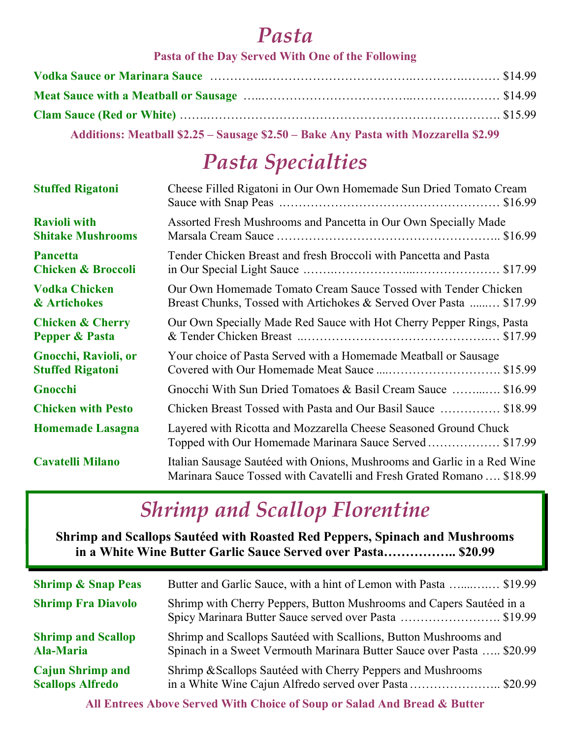#### Pasta

#### Pasta of the Day Served With One of the Following

| Additions: Meatball \$2.25 - Sausage \$2.50 - Bake Any Pasta with Mozzarella \$2.99 |  |
|-------------------------------------------------------------------------------------|--|

# Pasta Specialties

| <b>Stuffed Rigatoni</b>       | Cheese Filled Rigatoni in Our Own Homemade Sun Dried Tomato Cream                                                                                |
|-------------------------------|--------------------------------------------------------------------------------------------------------------------------------------------------|
| <b>Ravioli with</b>           | Assorted Fresh Mushrooms and Pancetta in Our Own Specially Made                                                                                  |
| <b>Shitake Mushrooms</b>      |                                                                                                                                                  |
| <b>Pancetta</b>               | Tender Chicken Breast and fresh Broccoli with Pancetta and Pasta                                                                                 |
| <b>Chicken &amp; Broccoli</b> |                                                                                                                                                  |
| <b>Vodka Chicken</b>          | Our Own Homemade Tomato Cream Sauce Tossed with Tender Chicken                                                                                   |
| & Artichokes                  | Breast Chunks, Tossed with Artichokes & Served Over Pasta  \$17.99                                                                               |
| <b>Chicken &amp; Cherry</b>   | Our Own Specially Made Red Sauce with Hot Cherry Pepper Rings, Pasta                                                                             |
| <b>Pepper &amp; Pasta</b>     |                                                                                                                                                  |
| Gnocchi, Ravioli, or          | Your choice of Pasta Served with a Homemade Meatball or Sausage                                                                                  |
| <b>Stuffed Rigatoni</b>       | Covered with Our Homemade Meat Sauce \$15.99                                                                                                     |
| Gnocchi                       | Gnocchi With Sun Dried Tomatoes & Basil Cream Sauce  \$16.99                                                                                     |
| <b>Chicken with Pesto</b>     | Chicken Breast Tossed with Pasta and Our Basil Sauce  \$18.99                                                                                    |
| <b>Homemade Lasagna</b>       | Layered with Ricotta and Mozzarella Cheese Seasoned Ground Chuck<br>Topped with Our Homemade Marinara Sauce Served \$17.99                       |
| <b>Cavatelli Milano</b>       | Italian Sausage Sautéed with Onions, Mushrooms and Garlic in a Red Wine<br>Marinara Sauce Tossed with Cavatelli and Fresh Grated Romano  \$18.99 |

# Shrimp and Scallop Florentine

Shrimp and Scallops Sautéed with Roasted Red Peppers, Spinach and Mushrooms in a White Wine Butter Garlic Sauce Served over Pasta…………….. \$20.99

| <b>Shrimp &amp; Snap Peas</b> | Butter and Garlic Sauce, with a hint of Lemon with Pasta \$19.99                                                              |
|-------------------------------|-------------------------------------------------------------------------------------------------------------------------------|
| <b>Shrimp Fra Diavolo</b>     | Shrimp with Cherry Peppers, Button Mushrooms and Capers Sautéed in a<br>Spicy Marinara Butter Sauce served over Pasta \$19.99 |
| <b>Shrimp and Scallop</b>     | Shrimp and Scallops Sautéed with Scallions, Button Mushrooms and                                                              |
| <b>Ala-Maria</b>              | Spinach in a Sweet Vermouth Marinara Butter Sauce over Pasta  \$20.99                                                         |
| <b>Cajun Shrimp and</b>       | Shrimp & Scallops Sautéed with Cherry Peppers and Mushrooms                                                                   |
| <b>Scallops Alfredo</b>       | in a White Wine Cajun Alfredo served over Pasta\$20.99                                                                        |

All Entrees Above Served With Choice of Soup or Salad And Bread & Butter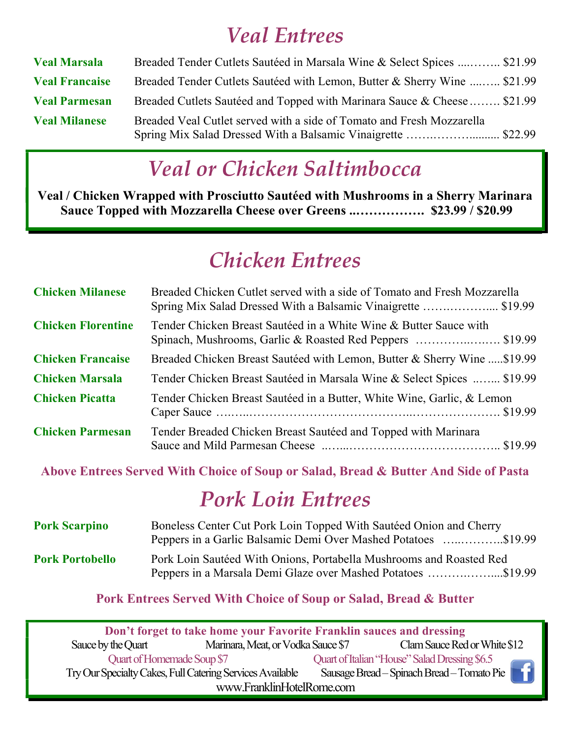### Veal Entrees

| <b>Veal Marsala</b>   | Breaded Tender Cutlets Sautéed in Marsala Wine & Select Spices  \$21.99  |
|-----------------------|--------------------------------------------------------------------------|
| <b>Veal Francaise</b> | Breaded Tender Cutlets Sautéed with Lemon, Butter & Sherry Wine  \$21.99 |
| <b>Veal Parmesan</b>  | Breaded Cutlets Sautéed and Topped with Marinara Sauce & Cheese  \$21.99 |
| <b>Veal Milanese</b>  | Breaded Veal Cutlet served with a side of Tomato and Fresh Mozzarella    |

# Veal or Chicken Saltimbocca

Veal / Chicken Wrapped with Prosciutto Sautéed with Mushrooms in a Sherry Marinara Sauce Topped with Mozzarella Cheese over Greens ..……………. \$23.99 / \$20.99

### Chicken Entrees

| <b>Chicken Milanese</b>   | Breaded Chicken Cutlet served with a side of Tomato and Fresh Mozzarella<br>Spring Mix Salad Dressed With a Balsamic Vinaigrette \$19.99 |
|---------------------------|------------------------------------------------------------------------------------------------------------------------------------------|
| <b>Chicken Florentine</b> | Tender Chicken Breast Sautéed in a White Wine & Butter Sauce with<br>Spinach, Mushrooms, Garlic & Roasted Red Peppers \$19.99            |
| <b>Chicken Francaise</b>  | Breaded Chicken Breast Sautéed with Lemon, Butter & Sherry Wine  \$19.99                                                                 |
| <b>Chicken Marsala</b>    | Tender Chicken Breast Sautéed in Marsala Wine & Select Spices  \$19.99                                                                   |
| <b>Chicken Picatta</b>    | Tender Chicken Breast Sautéed in a Butter, White Wine, Garlic, & Lemon                                                                   |
| <b>Chicken Parmesan</b>   | Tender Breaded Chicken Breast Sautéed and Topped with Marinara                                                                           |

Above Entrees Served With Choice of Soup or Salad, Bread & Butter And Side of Pasta

#### Pork Loin Entrees

| <b>Pork Scarpino</b>   | Boneless Center Cut Pork Loin Topped With Sautéed Onion and Cherry<br>Peppers in a Garlic Balsamic Demi Over Mashed Potatoes \$19.99 |
|------------------------|--------------------------------------------------------------------------------------------------------------------------------------|
| <b>Pork Portobello</b> | Pork Loin Sautéed With Onions, Portabella Mushrooms and Roasted Red<br>Peppers in a Marsala Demi Glaze over Mashed Potatoes \$19.99  |

Pork Entrees Served With Choice of Soup or Salad, Bread & Butter

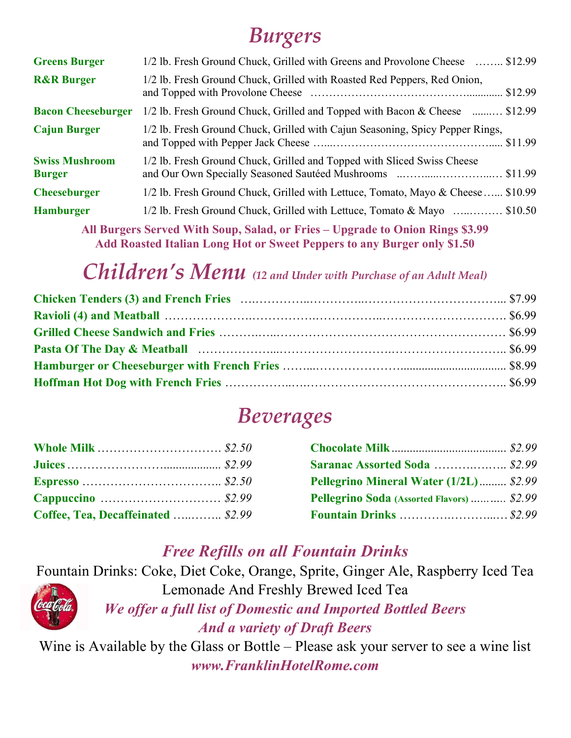# Burgers

| <b>Greens Burger</b>                   | 1/2 lb. Fresh Ground Chuck, Grilled with Greens and Provolone Cheese  \$12.99   |
|----------------------------------------|---------------------------------------------------------------------------------|
| <b>R&amp;R Burger</b>                  | 1/2 lb. Fresh Ground Chuck, Grilled with Roasted Red Peppers, Red Onion,        |
| <b>Bacon Cheeseburger</b>              | 1/2 lb. Fresh Ground Chuck, Grilled and Topped with Bacon & Cheese  \$12.99     |
| <b>Cajun Burger</b>                    | 1/2 lb. Fresh Ground Chuck, Grilled with Cajun Seasoning, Spicy Pepper Rings,   |
| <b>Swiss Mushroom</b><br><b>Burger</b> | 1/2 lb. Fresh Ground Chuck, Grilled and Topped with Sliced Swiss Cheese         |
| <b>Cheeseburger</b>                    | 1/2 lb. Fresh Ground Chuck, Grilled with Lettuce, Tomato, Mayo & Cheese \$10.99 |
| <b>Hamburger</b>                       | 1/2 lb. Fresh Ground Chuck, Grilled with Lettuce, Tomato & Mayo  \$10.50        |
|                                        | All Dungers Coural With Court Color on Enjoy Hagyards to Onion Dings @2.00      |

All Burgers Served With Soup, Salad, or Fries – Upgrade to Onion Rings \$3.99 Add Roasted Italian Long Hot or Sweet Peppers to any Burger only \$1.50

#### Children's Menu (12 and Under with Purchase of an Adult Meal)

#### Beverages

| Coffee, Tea, Decaffeinated  \$2.99 |  |
|------------------------------------|--|

| <b>Whole Milk</b> \$2.50           |                                            |  |
|------------------------------------|--------------------------------------------|--|
|                                    | <b>Saranac Assorted Soda</b> \$2.99        |  |
|                                    | Pellegrino Mineral Water (1/2L) \$2.99     |  |
|                                    | Pellegrino Soda (Assorted Flavors)  \$2.99 |  |
| Coffee, Tea, Decaffeinated  \$2.99 |                                            |  |

#### Free Refills on all Fountain Drinks

Fountain Drinks: Coke, Diet Coke, Orange, Sprite, Ginger Ale, Raspberry Iced Tea Lemonade And Freshly Brewed Iced Tea



We offer a full list of Domestic and Imported Bottled Beers

And a variety of Draft Beers

Wine is Available by the Glass or Bottle – Please ask your server to see a wine list www.FranklinHotelRome.com